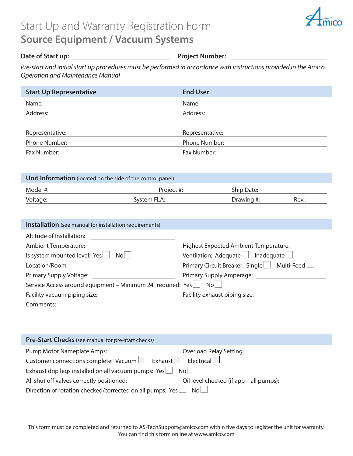## Start Up and Warranty Registration Form **Source Equipment / Vacuum Systems**



## **Date of Start up: Project Number: Project Number:**

*Pre-start and initial start up procedures must be performed in accordance with instructions provided in the Amico Operation and Maintenance Manual*

| <b>Start Up Representative</b> | <b>End User</b> |
|--------------------------------|-----------------|
| Name:                          | Name:           |
| Address:                       | Address:        |
|                                |                 |
| Representative:                | Representative: |
| Phone Number:                  | Phone Number:   |
| Fax Number:                    | Fax Number:     |

| <b>Unit Information</b> (located on the side of the control panel) |             |            |       |  |  |  |
|--------------------------------------------------------------------|-------------|------------|-------|--|--|--|
| Model #:                                                           | Project #:  | Ship Date: |       |  |  |  |
| Voltage:                                                           | System FLA: | Drawing #: | Rev.: |  |  |  |

| <b>Installation</b> (see manual for installation requirements) |                                               |  |  |  |
|----------------------------------------------------------------|-----------------------------------------------|--|--|--|
| Altitude of Installation:                                      |                                               |  |  |  |
| <b>Ambient Temperature:</b>                                    | <b>Highest Expected Ambient Temperature:</b>  |  |  |  |
| Is system mounted level: Yes<br>No                             | Ventilation: Adequate<br>Inadequate           |  |  |  |
| Location/Room:                                                 | Multi-Feed<br>Primary Circuit Breaker: Single |  |  |  |
| Primary Supply Voltage:                                        | Primary Supply Amperage:                      |  |  |  |
| Service Access around equipment - Minimum 24" required: Yes    | N <sub>0</sub>                                |  |  |  |
| Facility vacuum piping size:                                   | Facility exhaust piping size:                 |  |  |  |
| Comments:                                                      |                                               |  |  |  |

| <b>Pre-Start Checks</b> (see manual for pre-start checks)                   |                                         |  |  |
|-----------------------------------------------------------------------------|-----------------------------------------|--|--|
| Pump Motor Nameplate Amps:                                                  | <b>Overload Relay Setting:</b>          |  |  |
| Customer connections complete: Vacuum   Exhaust<br>Electrical               |                                         |  |  |
| Exhaust drip legs installed on all vacuum pumps: Yes<br>No                  |                                         |  |  |
| All shut off valves correctly positioned:                                   | Oil level checked (if app – all pumps): |  |  |
| Direction of rotation checked/corrected on all pumps: Yes<br>N <sub>O</sub> |                                         |  |  |

This form must be completed and returned to AS-TechSupport@amico.com within five days to register the unit for warranty. You can find this form online at www.amico.com